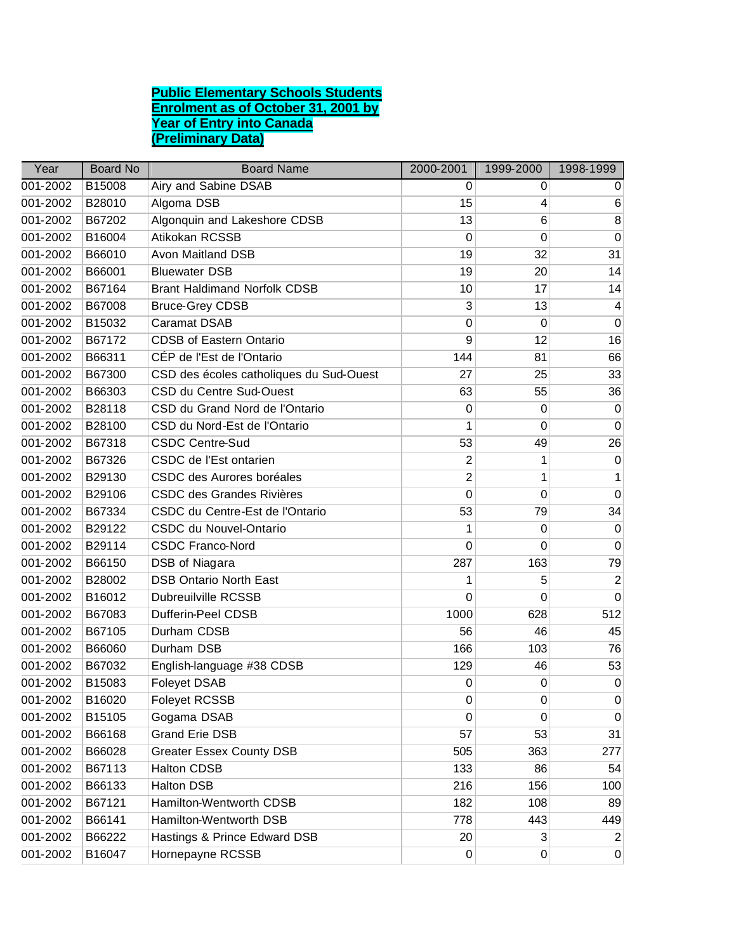## **Public Elementary Schools Students Enrolment as of October 31, 2001 by Year of Entry into Canada (Preliminary Data)**

| Year     | <b>Board No</b> | <b>Board Name</b>                       | 2000-2001        | 1999-2000   | 1998-1999      |
|----------|-----------------|-----------------------------------------|------------------|-------------|----------------|
| 001-2002 | B15008          | Airy and Sabine DSAB                    | 0                | 0           | 0              |
| 001-2002 | B28010          | Algoma DSB                              | 15               | 4           | 6              |
| 001-2002 | B67202          | Algonquin and Lakeshore CDSB            | 13               | 6           | 8              |
| 001-2002 | B16004          | Atikokan RCSSB                          | $\mathbf 0$      | 0           | $\mathbf 0$    |
| 001-2002 | B66010          | <b>Avon Maitland DSB</b>                | 19               | 32          | 31             |
| 001-2002 | B66001          | <b>Bluewater DSB</b>                    | 19               | 20          | 14             |
| 001-2002 | B67164          | <b>Brant Haldimand Norfolk CDSB</b>     | 10               | 17          | 14             |
| 001-2002 | B67008          | <b>Bruce-Grey CDSB</b>                  | 3                | 13          | 4              |
| 001-2002 | B15032          | <b>Caramat DSAB</b>                     | 0                | 0           | $\mathbf 0$    |
| 001-2002 | B67172          | <b>CDSB of Eastern Ontario</b>          | 9                | 12          | 16             |
| 001-2002 | B66311          | CÉP de l'Est de l'Ontario               | 144              | 81          | 66             |
| 001-2002 | B67300          | CSD des écoles catholiques du Sud-Ouest | 27               | 25          | 33             |
| 001-2002 | B66303          | CSD du Centre Sud-Ouest                 | 63               | 55          | 36             |
| 001-2002 | B28118          | CSD du Grand Nord de l'Ontario          | 0                | 0           | $\mathbf 0$    |
| 001-2002 | B28100          | CSD du Nord-Est de l'Ontario            | 1                | 0           | $\mathbf 0$    |
| 001-2002 | B67318          | <b>CSDC Centre-Sud</b>                  | 53               | 49          | 26             |
| 001-2002 | B67326          | CSDC de l'Est ontarien                  | 2                | 1           | 0              |
| 001-2002 | B29130          | CSDC des Aurores boréales               | $\overline{2}$   | 1           | 1              |
| 001-2002 | B29106          | <b>CSDC des Grandes Rivières</b>        | 0                | 0           | $\mathbf 0$    |
| 001-2002 | B67334          | CSDC du Centre-Est de l'Ontario         | 53               | 79          | 34             |
| 001-2002 | B29122          | CSDC du Nouvel-Ontario                  | 1                | 0           | 0              |
| 001-2002 | B29114          | <b>CSDC Franco-Nord</b>                 | 0                | 0           | 0              |
| 001-2002 | B66150          | DSB of Niagara                          | 287              | 163         | 79             |
| 001-2002 | B28002          | <b>DSB Ontario North East</b>           | 1                | 5           | $\overline{2}$ |
| 001-2002 | B16012          | <b>Dubreuilville RCSSB</b>              | 0                | 0           | 0              |
| 001-2002 | B67083          | <b>Dufferin-Peel CDSB</b>               | 1000             | 628         | 512            |
| 001-2002 | B67105          | Durham CDSB                             | 56               | 46          | 45             |
| 001-2002 | B66060          | Durham DSB                              | 166              | 103         | 76             |
| 001-2002 | B67032          | English-language #38 CDSB               | 129              | 46          | 53             |
| 001-2002 | B15083          | <b>Foleyet DSAB</b>                     | 0                | 0           | $\mathbf 0$    |
| 001-2002 | B16020          | Foleyet RCSSB                           | 0                | $\mathbf 0$ | $\pmb{0}$      |
| 001-2002 | B15105          | Gogama DSAB                             | $\boldsymbol{0}$ | 0           | $\mathbf 0$    |
| 001-2002 | B66168          | <b>Grand Erie DSB</b>                   | 57               | 53          | 31             |
| 001-2002 | B66028          | <b>Greater Essex County DSB</b>         | 505              | 363         | 277            |
| 001-2002 | B67113          | Halton CDSB                             | 133              | 86          | 54             |
| 001-2002 | B66133          | <b>Halton DSB</b>                       | 216              | 156         | 100            |
| 001-2002 | B67121          | Hamilton-Wentworth CDSB                 | 182              | 108         | 89             |
| 001-2002 | B66141          | Hamilton-Wentworth DSB                  | 778              | 443         | 449            |
| 001-2002 | B66222          | Hastings & Prince Edward DSB            | 20               | $\sqrt{3}$  | $\overline{2}$ |
| 001-2002 | B16047          | Hornepayne RCSSB                        | 0                | 0           | $\overline{0}$ |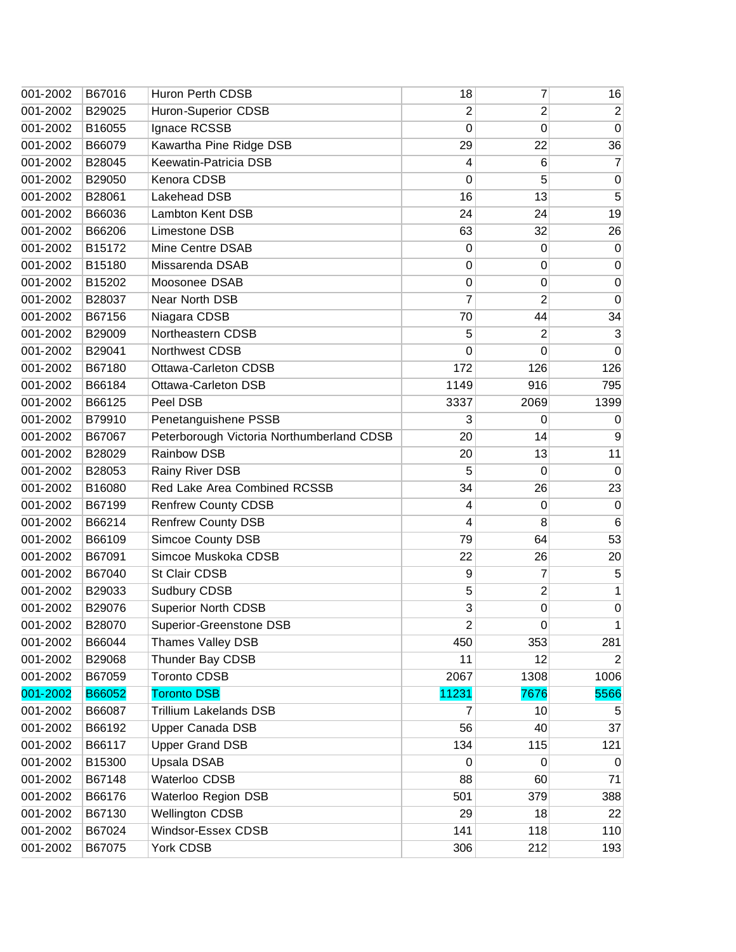| 001-2002 | B67016 | Huron Perth CDSB                          | 18                      | 7                | 16             |
|----------|--------|-------------------------------------------|-------------------------|------------------|----------------|
| 001-2002 | B29025 | Huron-Superior CDSB                       | 2                       | 2                | $\overline{2}$ |
| 001-2002 | B16055 | Ignace RCSSB                              | 0                       | $\mathbf 0$      | $\mathbf 0$    |
| 001-2002 | B66079 | Kawartha Pine Ridge DSB                   | 29                      | 22               | 36             |
| 001-2002 | B28045 | Keewatin-Patricia DSB                     | 4                       | 6                | 7              |
| 001-2002 | B29050 | Kenora CDSB                               | $\mathbf 0$             | 5                | 0              |
| 001-2002 | B28061 | Lakehead DSB                              | 16                      | 13               | 5              |
| 001-2002 | B66036 | Lambton Kent DSB                          | 24                      | 24               | 19             |
| 001-2002 | B66206 | Limestone DSB                             | 63                      | 32               | 26             |
| 001-2002 | B15172 | Mine Centre DSAB                          | 0                       | 0                | $\mathbf 0$    |
| 001-2002 | B15180 | Missarenda DSAB                           | 0                       | $\mathbf 0$      | 0              |
| 001-2002 | B15202 | Moosonee DSAB                             | 0                       | 0                | $\mathbf 0$    |
| 001-2002 | B28037 | Near North DSB                            | 7                       | 2                | $\mathbf 0$    |
| 001-2002 | B67156 | Niagara CDSB                              | 70                      | 44               | 34             |
| 001-2002 | B29009 | Northeastern CDSB                         | 5                       | 2                | 3              |
| 001-2002 | B29041 | Northwest CDSB                            | 0                       | 0                | $\Omega$       |
| 001-2002 | B67180 | <b>Ottawa-Carleton CDSB</b>               | 172                     | 126              | 126            |
| 001-2002 | B66184 | Ottawa-Carleton DSB                       | 1149                    | 916              | 795            |
| 001-2002 | B66125 | Peel DSB                                  | 3337                    | 2069             | 1399           |
| 001-2002 | B79910 | Penetanguishene PSSB                      | 3                       | 0                | 0              |
| 001-2002 | B67067 | Peterborough Victoria Northumberland CDSB | 20                      | 14               | 9              |
| 001-2002 | B28029 | Rainbow DSB                               | 20                      | 13               | 11             |
| 001-2002 | B28053 | Rainy River DSB                           | 5                       | 0                | $\Omega$       |
| 001-2002 | B16080 | Red Lake Area Combined RCSSB              | 34                      | 26               | 23             |
| 001-2002 | B67199 | <b>Renfrew County CDSB</b>                | 4                       | 0                | $\mathbf 0$    |
| 001-2002 | B66214 | <b>Renfrew County DSB</b>                 | 4                       | 8                | 6              |
| 001-2002 | B66109 | <b>Simcoe County DSB</b>                  | 79                      | 64               | 53             |
| 001-2002 | B67091 | Simcoe Muskoka CDSB                       | 22                      | 26               | 20             |
| 001-2002 | B67040 | St Clair CDSB                             | 9                       | 7                | 5              |
| 001-2002 | B29033 | Sudbury CDSB                              | 5                       | $\overline{2}$   | 1              |
| 001-2002 | B29076 | Superior North CDSB                       | 3                       | $\boldsymbol{0}$ | $\mathbf 0$    |
| 001-2002 | B28070 | Superior-Greenstone DSB                   | $\overline{\mathbf{c}}$ | $\mathbf 0$      | 1              |
| 001-2002 | B66044 | Thames Valley DSB                         | 450                     | 353              | 281            |
| 001-2002 | B29068 | Thunder Bay CDSB                          | 11                      | 12               | 2              |
| 001-2002 | B67059 | <b>Toronto CDSB</b>                       | 2067                    | 1308             | 1006           |
| 001-2002 | B66052 | <b>Toronto DSB</b>                        | 11231                   | 7676             | 5566           |
| 001-2002 | B66087 | <b>Trillium Lakelands DSB</b>             | 7                       | 10               | 5              |
| 001-2002 | B66192 | Upper Canada DSB                          | 56                      | 40               | 37             |
| 001-2002 | B66117 | <b>Upper Grand DSB</b>                    | 134                     | 115              | 121            |
| 001-2002 | B15300 | Upsala DSAB                               | $\mathbf 0$             | $\Omega$         | $\mathbf 0$    |
| 001-2002 | B67148 | Waterloo CDSB                             | 88                      | 60               | 71             |
| 001-2002 | B66176 | Waterloo Region DSB                       | 501                     | 379              | 388            |
| 001-2002 | B67130 | <b>Wellington CDSB</b>                    | 29                      | 18               | 22             |
| 001-2002 | B67024 | Windsor-Essex CDSB                        | 141                     | 118              | 110            |
| 001-2002 | B67075 | York CDSB                                 | 306                     | 212              | 193            |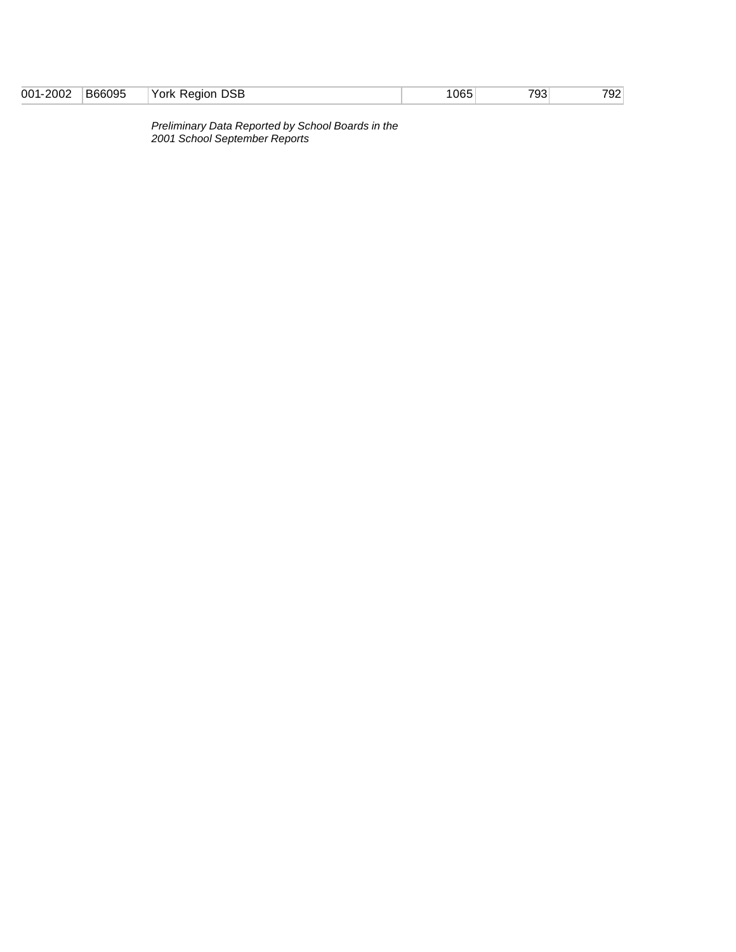| B66095<br><b>DSB</b><br>2002<br>793 <sub>1</sub><br>1065<br>York<br>001<br>792.<br>Region<br>____<br>$\sim$ $\sim$ $\sim$ $\sim$ $\sim$ $\sim$<br>.<br>.<br>____ |
|------------------------------------------------------------------------------------------------------------------------------------------------------------------|
|------------------------------------------------------------------------------------------------------------------------------------------------------------------|

*Preliminary Data Reported by School Boards in the 2001 School September Reports*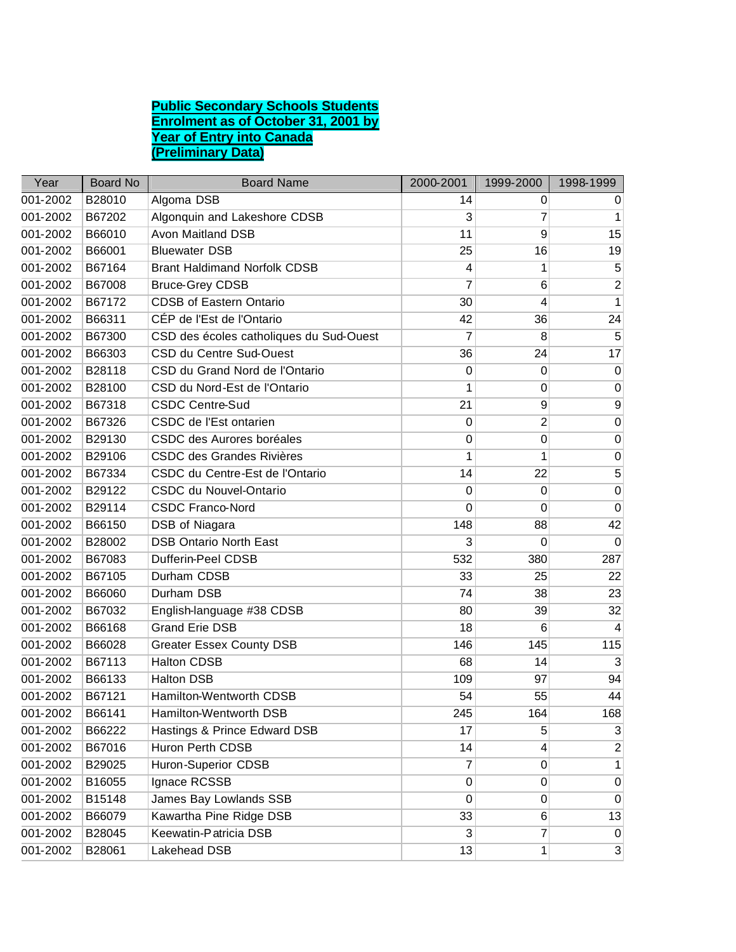## **Public Secondary Schools Students Enrolment as of October 31, 2001 by Year of Entry into Canada (Preliminary Data)**

| Year     | <b>Board No</b> | <b>Board Name</b>                       | 2000-2001   | 1999-2000      | 1998-1999        |
|----------|-----------------|-----------------------------------------|-------------|----------------|------------------|
| 001-2002 | B28010          | Algoma DSB                              | 14          | 0              | 0                |
| 001-2002 | B67202          | Algonquin and Lakeshore CDSB            | 3           | 7              | 1                |
| 001-2002 | B66010          | <b>Avon Maitland DSB</b>                | 11          | 9              | 15               |
| 001-2002 | B66001          | <b>Bluewater DSB</b>                    | 25          | 16             | 19               |
| 001-2002 | B67164          | <b>Brant Haldimand Norfolk CDSB</b>     | 4           | 1              | 5                |
| 001-2002 | B67008          | <b>Bruce-Grey CDSB</b>                  | 7           | 6              | $\overline{2}$   |
| 001-2002 | B67172          | <b>CDSB of Eastern Ontario</b>          | 30          | 4              | 1                |
| 001-2002 | B66311          | CÉP de l'Est de l'Ontario               | 42          | 36             | 24               |
| 001-2002 | B67300          | CSD des écoles catholiques du Sud-Ouest | 7           | 8              | 5                |
| 001-2002 | B66303          | CSD du Centre Sud-Ouest                 | 36          | 24             | 17               |
| 001-2002 | B28118          | CSD du Grand Nord de l'Ontario          | 0           | 0              | $\mathbf 0$      |
| 001-2002 | B28100          | CSD du Nord-Est de l'Ontario            | 1           | 0              | 0                |
| 001-2002 | B67318          | <b>CSDC Centre-Sud</b>                  | 21          | 9              | 9                |
| 001-2002 | B67326          | CSDC de l'Est ontarien                  | 0           | $\overline{c}$ | $\mathbf 0$      |
| 001-2002 | B29130          | CSDC des Aurores boréales               | 0           | $\mathbf 0$    | $\boldsymbol{0}$ |
| 001-2002 | B29106          | <b>CSDC des Grandes Rivières</b>        | 1           | 1              | 0                |
| 001-2002 | B67334          | CSDC du Centre-Est de l'Ontario         | 14          | 22             | 5                |
| 001-2002 | B29122          | CSDC du Nouvel-Ontario                  | $\mathbf 0$ | $\mathbf 0$    | $\mathbf 0$      |
| 001-2002 | B29114          | <b>CSDC Franco-Nord</b>                 | 0           | 0              | $\mathbf 0$      |
| 001-2002 | B66150          | DSB of Niagara                          | 148         | 88             | 42               |
| 001-2002 | B28002          | <b>DSB Ontario North East</b>           | 3           | 0              | 0                |
| 001-2002 | B67083          | Dufferin-Peel CDSB                      | 532         | 380            | 287              |
| 001-2002 | B67105          | Durham CDSB                             | 33          | 25             | 22               |
| 001-2002 | B66060          | Durham DSB                              | 74          | 38             | 23               |
| 001-2002 | B67032          | English-language #38 CDSB               | 80          | 39             | 32               |
| 001-2002 | B66168          | <b>Grand Erie DSB</b>                   | 18          | 6              | 4                |
| 001-2002 | B66028          | <b>Greater Essex County DSB</b>         | 146         | 145            | 115              |
| 001-2002 | B67113          | <b>Halton CDSB</b>                      | 68          | 14             | 3                |
| 001-2002 | B66133          | <b>Halton DSB</b>                       | 109         | 97             | 94               |
| 001-2002 | B67121          | Hamilton-Wentworth CDSB                 | 54          | 55             | 44               |
| 001-2002 | B66141          | Hamilton-Wentworth DSB                  | 245         | 164            | 168              |
| 001-2002 | B66222          | Hastings & Prince Edward DSB            | 17          | 5              | 3                |
| 001-2002 | B67016          | Huron Perth CDSB                        | 14          | 4              | $\overline{c}$   |
| 001-2002 | B29025          | Huron-Superior CDSB                     | 7           | $\mathbf 0$    | 1                |
| 001-2002 | B16055          | Ignace RCSSB                            | 0           | 0              | 0                |
| 001-2002 | B15148          | James Bay Lowlands SSB                  | 0           | $\mathbf 0$    | 0                |
| 001-2002 | B66079          | Kawartha Pine Ridge DSB                 | 33          | 6              | 13               |
| 001-2002 | B28045          | Keewatin-Patricia DSB                   | 3           | 7              | 0                |
| 001-2002 | B28061          | Lakehead DSB                            | 13          | 1              | $\mathbf{3}$     |